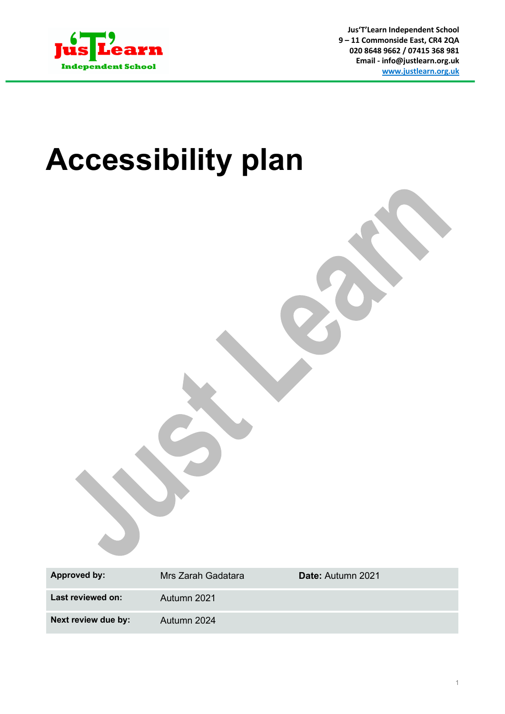

# **Accessibility plan**

| Approved by:        | Mrs Zarah Gadatara | <b>Date: Autumn 2021</b> |
|---------------------|--------------------|--------------------------|
| Last reviewed on:   | Autumn 2021        |                          |
| Next review due by: | Autumn 2024        |                          |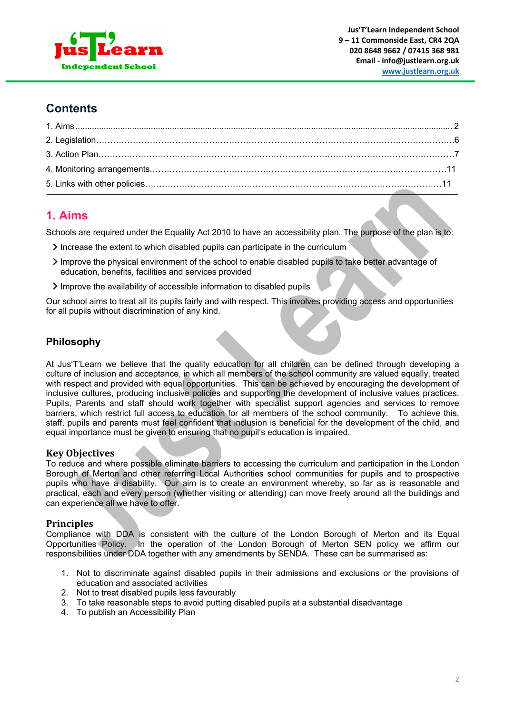

# **Contents**

# **1. Aims**

Schools are required under the Equality Act 2010 to have an accessibility plan. The purpose of the plan is to:

- $\geq$  Increase the extent to which disabled pupils can participate in the curriculum
- Improve the physical environment of the school to enable disabled pupils to take better advantage of education, benefits, facilities and services provided
- Improve the availability of accessible information to disabled pupils

Our school aims to treat all its pupils fairly and with respect. This involves providing access and opportunities for all pupils without discrimination of any kind.

# **Philosophy**

At Jus'T'Learn we believe that the quality education for all children can be defined through developing a culture of inclusion and acceptance, in which all members of the school community are valued equally, treated with respect and provided with equal opportunities. This can be achieved by encouraging the development of inclusive cultures, producing inclusive policies and supporting the development of inclusive values practices. Pupils, Parents and staff should work together with specialist support agencies and services to remove barriers, which restrict full access to education for all members of the school community. To achieve this, staff, pupils and parents must feel confident that inclusion is beneficial for the development of the child, and equal importance must be given to ensuring that no pupil's education is impaired.

# **Key Objectives**

To reduce and where possible eliminate barriers to accessing the curriculum and participation in the London Borough of Merton and other referring Local Authorities school communities for pupils and to prospective pupils who have a disability. Our aim is to create an environment whereby, so far as is reasonable and practical, each and every person (whether visiting or attending) can move freely around all the buildings and can experience all we have to offer.

# **Principles**

Compliance with DDA is consistent with the culture of the London Borough of Merton and its Equal Opportunities Policy. In the operation of the London Borough of Merton SEN policy we affirm our responsibilities under DDA together with any amendments by SENDA. These can be summarised as:

- 1. Not to discriminate against disabled pupils in their admissions and exclusions or the provisions of education and associated activities
- 2. Not to treat disabled pupils less favourably
- 3. To take reasonable steps to avoid putting disabled pupils at a substantial disadvantage
- 4. To publish an Accessibility Plan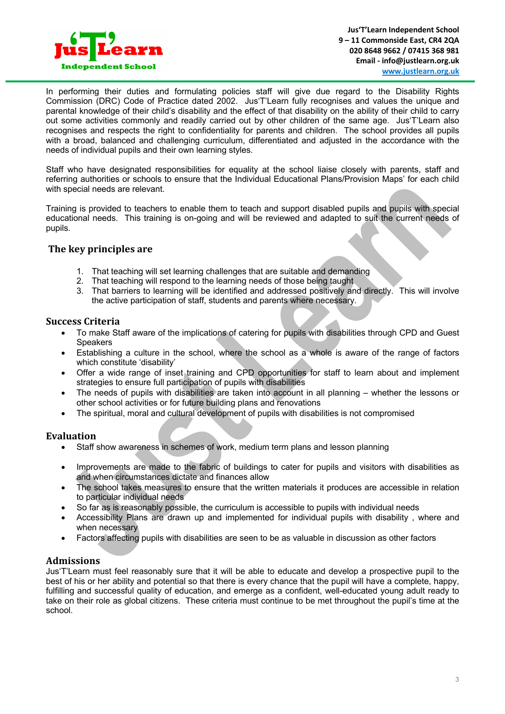

In performing their duties and formulating policies staff will give due regard to the Disability Rights Commission (DRC) Code of Practice dated 2002. Jus'T'Learn fully recognises and values the unique and parental knowledge of their child's disability and the effect of that disability on the ability of their child to carry out some activities commonly and readily carried out by other children of the same age. Jus'T'Learn also recognises and respects the right to confidentiality for parents and children. The school provides all pupils with a broad, balanced and challenging curriculum, differentiated and adjusted in the accordance with the needs of individual pupils and their own learning styles.

Staff who have designated responsibilities for equality at the school liaise closely with parents, staff and referring authorities or schools to ensure that the Individual Educational Plans/Provision Maps' for each child with special needs are relevant.

Training is provided to teachers to enable them to teach and support disabled pupils and pupils with special educational needs. This training is on-going and will be reviewed and adapted to suit the current needs of pupils.

## **The key principles are**

- 1. That teaching will set learning challenges that are suitable and demanding<br>2. That teaching will respond to the learning needs of those being taught
- That teaching will respond to the learning needs of those being taught.
- 3. That barriers to learning will be identified and addressed positively and directly. This will involve the active participation of staff, students and parents where necessary.

#### **Success Criteria**

- To make Staff aware of the implications of catering for pupils with disabilities through CPD and Guest **Speakers**
- Establishing a culture in the school, where the school as a whole is aware of the range of factors which constitute 'disability'
- Offer a wide range of inset training and CPD opportunities for staff to learn about and implement strategies to ensure full participation of pupils with disabilities
- The needs of pupils with disabilities are taken into account in all planning whether the lessons or other school activities or for future building plans and renovations
- The spiritual, moral and cultural development of pupils with disabilities is not compromised

## **Evaluation**

- Staff show awareness in schemes of work, medium term plans and lesson planning
- Improvements are made to the fabric of buildings to cater for pupils and visitors with disabilities as and when circumstances dictate and finances allow
- The school takes measures to ensure that the written materials it produces are accessible in relation to particular individual needs
- So far as is reasonably possible, the curriculum is accessible to pupils with individual needs
- Accessibility Plans are drawn up and implemented for individual pupils with disability , where and when necessary
- Factors affecting pupils with disabilities are seen to be as valuable in discussion as other factors

## **Admissions**

Jus'T'Learn must feel reasonably sure that it will be able to educate and develop a prospective pupil to the best of his or her ability and potential so that there is every chance that the pupil will have a complete, happy, fulfilling and successful quality of education, and emerge as a confident, well-educated young adult ready to take on their role as global citizens. These criteria must continue to be met throughout the pupil's time at the school.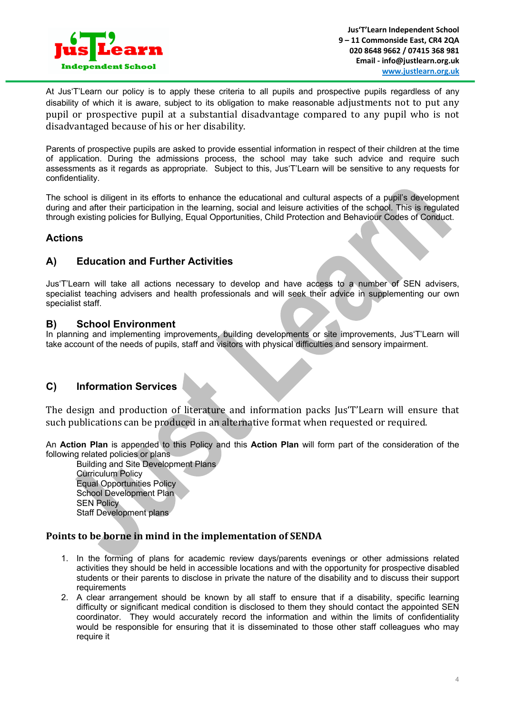

At Jus'T'Learn our policy is to apply these criteria to all pupils and prospective pupils regardless of any disability of which it is aware, subject to its obligation to make reasonable adjustments not to put any pupil or prospective pupil at a substantial disadvantage compared to any pupil who is not disadvantaged because of his or her disability.

Parents of prospective pupils are asked to provide essential information in respect of their children at the time of application. During the admissions process, the school may take such advice and require such assessments as it regards as appropriate. Subject to this, Jus'T'Learn will be sensitive to any requests for confidentiality.

The school is diligent in its efforts to enhance the educational and cultural aspects of a pupil's development during and after their participation in the learning, social and leisure activities of the school. This is regulated through existing policies for Bullying, Equal Opportunities, Child Protection and Behaviour Codes of Conduct.

## **Actions**

## **A) Education and Further Activities**

Jus'T'Learn will take all actions necessary to develop and have access to a number of SEN advisers, specialist teaching advisers and health professionals and will seek their advice in supplementing our own specialist staff.

## **B) School Environment**

In planning and implementing improvements, building developments or site improvements, Jus'T'Learn will take account of the needs of pupils, staff and visitors with physical difficulties and sensory impairment.

# **C) Information Services**

The design and production of literature and information packs Jus'T'Learn will ensure that such publications can be produced in an alternative format when requested or required.

An **Action Plan** is appended to this Policy and this **Action Plan** will form part of the consideration of the following related policies or plans

Building and Site Development Plans Curriculum Policy Equal Opportunities Policy School Development Plan SEN Policy Staff Development plans

## Points to be borne in mind in the implementation of SENDA

- 1. In the forming of plans for academic review days/parents evenings or other admissions related activities they should be held in accessible locations and with the opportunity for prospective disabled students or their parents to disclose in private the nature of the disability and to discuss their support requirements
- 2. A clear arrangement should be known by all staff to ensure that if a disability, specific learning difficulty or significant medical condition is disclosed to them they should contact the appointed SEN coordinator. They would accurately record the information and within the limits of confidentiality would be responsible for ensuring that it is disseminated to those other staff colleagues who may require it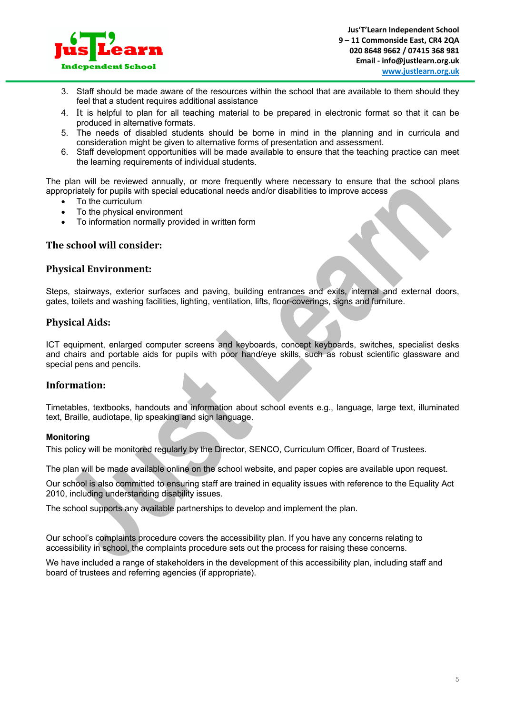

- 3. Staff should be made aware of the resources within the school that are available to them should they feel that a student requires additional assistance
- 4. It is helpful to plan for all teaching material to be prepared in electronic format so that it can be produced in alternative formats.
- 5. The needs of disabled students should be borne in mind in the planning and in curricula and consideration might be given to alternative forms of presentation and assessment.
- 6. Staff development opportunities will be made available to ensure that the teaching practice can meet the learning requirements of individual students.

The plan will be reviewed annually, or more frequently where necessary to ensure that the school plans appropriately for pupils with special educational needs and/or disabilities to improve access

- To the curriculum
- To the physical environment
- To information normally provided in written form

#### The school will consider:

#### **Physical Environment:**

Steps, stairways, exterior surfaces and paving, building entrances and exits, internal and external doors, gates, toilets and washing facilities, lighting, ventilation, lifts, floor-coverings, signs and furniture.

#### **Physical Aids:**

ICT equipment, enlarged computer screens and keyboards, concept keyboards, switches, specialist desks and chairs and portable aids for pupils with poor hand/eye skills, such as robust scientific glassware and special pens and pencils.

## **Information:**

Timetables, textbooks, handouts and information about school events e.g., language, large text, illuminated text, Braille, audiotape, lip speaking and sign language.

#### **Monitoring**

This policy will be monitored regularly by the Director, SENCO, Curriculum Officer, Board of Trustees.

The plan will be made available online on the school website, and paper copies are available upon request.

Our school is also committed to ensuring staff are trained in equality issues with reference to the Equality Act 2010, including understanding disability issues.

The school supports any available partnerships to develop and implement the plan.

Our school's complaints procedure covers the accessibility plan. If you have any concerns relating to accessibility in school, the complaints procedure sets out the process for raising these concerns.

We have included a range of stakeholders in the development of this accessibility plan, including staff and board of trustees and referring agencies (if appropriate).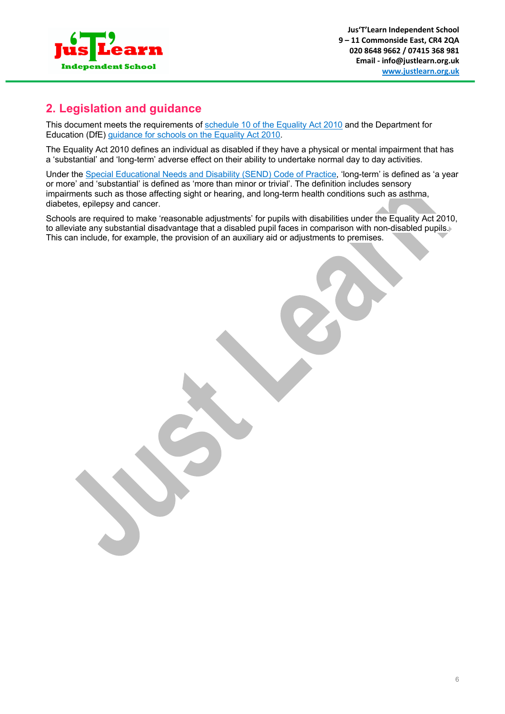

# **2. Legislation and guidance**

This document meets the requirements of schedule 10 of the Equality Act 2010 and the Department for Education (DfE) guidance for schools on the Equality Act 2010.

The Equality Act 2010 defines an individual as disabled if they have a physical or mental impairment that has a 'substantial' and 'long-term' adverse effect on their ability to undertake normal day to day activities.

Under the Special Educational Needs and Disability (SEND) Code of Practice, 'long-term' is defined as 'a year or more' and 'substantial' is defined as 'more than minor or trivial'. The definition includes sensory impairments such as those affecting sight or hearing, and long-term health conditions such as asthma, diabetes, epilepsy and cancer.

Schools are required to make 'reasonable adjustments' for pupils with disabilities under the Equality Act 2010, to alleviate any substantial disadvantage that a disabled pupil faces in comparison with non-disabled pupils. This can include, for example, the provision of an auxiliary aid or adjustments to premises.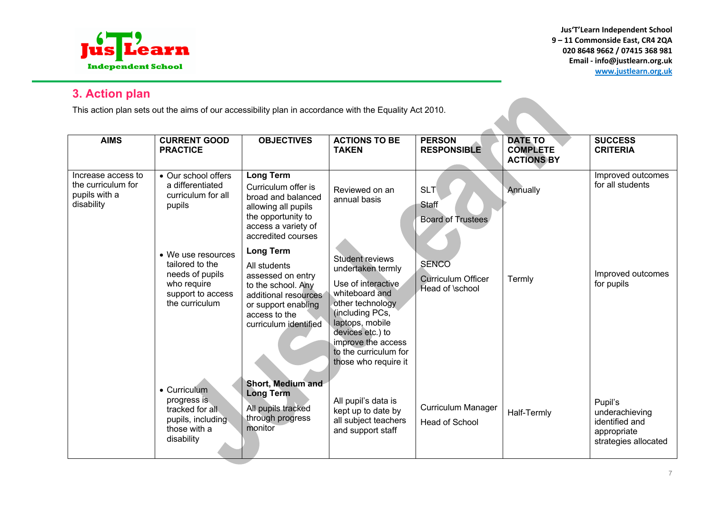

# **3. Action plan**

This action plan sets out the aims of our accessibility plan in accordance with the Equality Act 2010.

| <b>AIMS</b>                                                             | <b>CURRENT GOOD</b><br><b>PRACTICE</b>                                                                         | <b>OBJECTIVES</b>                                                                                                                                                    | <b>ACTIONS TO BE</b><br><b>TAKEN</b>                                                                                                                                                                                                     | <b>PERSON</b><br><b>RESPONSIBLE</b>                          | <b>DATE TO</b><br><b>COMPLETE</b><br><b>ACTIONS BY</b> | <b>SUCCESS</b><br><b>CRITERIA</b>                                                  |
|-------------------------------------------------------------------------|----------------------------------------------------------------------------------------------------------------|----------------------------------------------------------------------------------------------------------------------------------------------------------------------|------------------------------------------------------------------------------------------------------------------------------------------------------------------------------------------------------------------------------------------|--------------------------------------------------------------|--------------------------------------------------------|------------------------------------------------------------------------------------|
| Increase access to<br>the curriculum for<br>pupils with a<br>disability | • Our school offers<br>a differentiated<br>curriculum for all<br>pupils                                        | <b>Long Term</b><br>Curriculum offer is<br>broad and balanced<br>allowing all pupils<br>the opportunity to<br>access a variety of<br>accredited courses              | Reviewed on an<br>annual basis                                                                                                                                                                                                           | <b>SLT</b><br>Staff<br><b>Board of Trustees</b>              | Annually                                               | Improved outcomes<br>for all students                                              |
|                                                                         | • We use resources<br>tailored to the<br>needs of pupils<br>who require<br>support to access<br>the curriculum | <b>Long Term</b><br>All students<br>assessed on entry<br>to the school. Any<br>additional resources<br>or support enabling<br>access to the<br>curriculum identified | <b>Student reviews</b><br>undertaken termly<br>Use of interactive<br>whiteboard and<br>other technology<br>(including PCs,<br>laptops, mobile<br>devices etc.) to<br>improve the access<br>to the curriculum for<br>those who require it | <b>SENCO</b><br><b>Curriculum Officer</b><br>Head of \school | Termly                                                 | Improved outcomes<br>for pupils                                                    |
|                                                                         | • Curriculum<br>progress is<br>tracked for all<br>pupils, including<br>those with a<br>disability              | Short, Medium and<br><b>Long Term</b><br>All pupils tracked<br>through progress<br>monitor                                                                           | All pupil's data is<br>kept up to date by<br>all subject teachers<br>and support staff                                                                                                                                                   | <b>Curriculum Manager</b><br><b>Head of School</b>           | Half-Termly                                            | Pupil's<br>underachieving<br>identified and<br>appropriate<br>strategies allocated |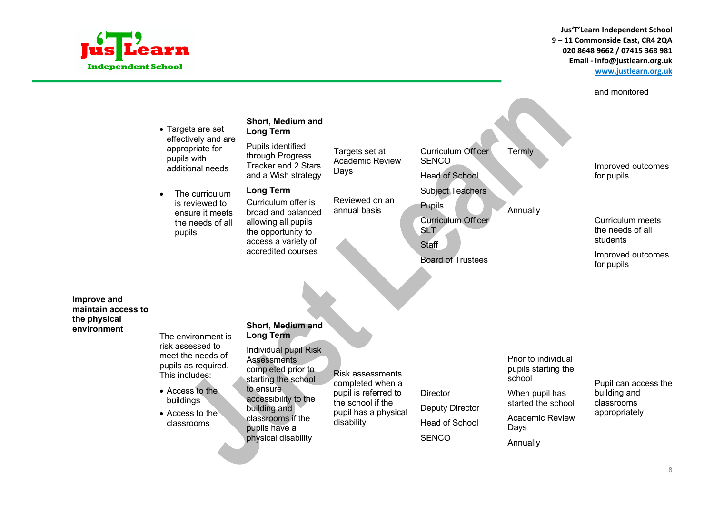

|                                                                  |                                                                                                                                                                       |                                                                                                                                                                                                                                                     |                                                                                                                                |                                                                                                            |                                                                                                                                            | and monitored                                                                       |
|------------------------------------------------------------------|-----------------------------------------------------------------------------------------------------------------------------------------------------------------------|-----------------------------------------------------------------------------------------------------------------------------------------------------------------------------------------------------------------------------------------------------|--------------------------------------------------------------------------------------------------------------------------------|------------------------------------------------------------------------------------------------------------|--------------------------------------------------------------------------------------------------------------------------------------------|-------------------------------------------------------------------------------------|
|                                                                  | • Targets are set<br>effectively and are<br>appropriate for<br>pupils with<br>additional needs                                                                        | Short, Medium and<br><b>Long Term</b><br>Pupils identified<br>through Progress<br><b>Tracker and 2 Stars</b><br>and a Wish strategy                                                                                                                 | Targets set at<br><b>Academic Review</b><br>Days                                                                               | Curriculum Officer<br><b>SENCO</b><br><b>Head of School</b>                                                | Termly                                                                                                                                     | Improved outcomes<br>for pupils                                                     |
|                                                                  | The curriculum<br>is reviewed to<br>ensure it meets<br>the needs of all<br>pupils                                                                                     | <b>Long Term</b><br>Curriculum offer is<br>broad and balanced<br>allowing all pupils<br>the opportunity to<br>access a variety of<br>accredited courses                                                                                             | Reviewed on an<br>annual basis                                                                                                 | <b>Subject Teachers</b><br>Pupils<br><b>Curriculum Officer</b><br>SLT<br>Staff<br><b>Board of Trustees</b> | Annually                                                                                                                                   | Curriculum meets<br>the needs of all<br>students<br>Improved outcomes<br>for pupils |
| Improve and<br>maintain access to<br>the physical<br>environment | The environment is<br>risk assessed to<br>meet the needs of<br>pupils as required.<br>This includes:<br>• Access to the<br>buildings<br>• Access to the<br>classrooms | Short, Medium and<br><b>Long Term</b><br>Individual pupil Risk<br><b>Assessments</b><br>completed prior to<br>starting the school<br>to ensure<br>accessibility to the<br>building and<br>classrooms if the<br>pupils have a<br>physical disability | <b>Risk assessments</b><br>completed when a<br>pupil is referred to<br>the school if the<br>pupil has a physical<br>disability | <b>Director</b><br><b>Deputy Director</b><br><b>Head of School</b><br><b>SENCO</b>                         | Prior to individual<br>pupils starting the<br>school<br>When pupil has<br>started the school<br><b>Academic Review</b><br>Days<br>Annually | Pupil can access the<br>building and<br>classrooms<br>appropriately                 |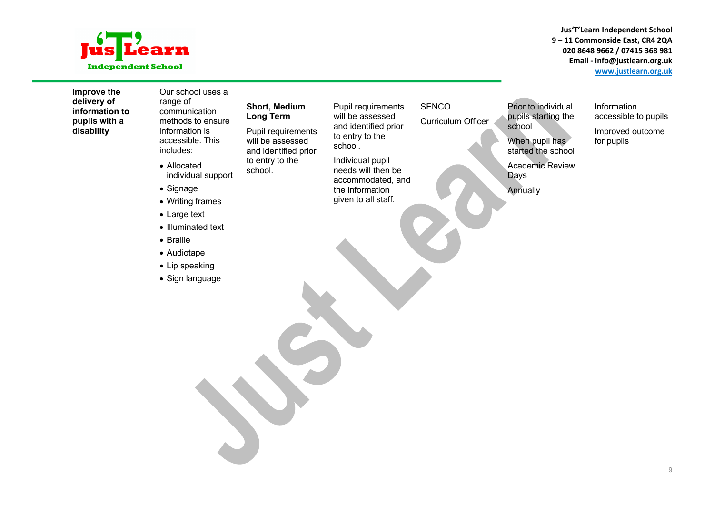

| Improve the<br>delivery of<br>information to<br>pupils with a<br>disability | Our school uses a<br>range of<br>communication<br>methods to ensure<br>information is<br>accessible. This<br>includes:<br>• Allocated<br>individual support<br>• Signage<br>• Writing frames<br>• Large text<br>• Illuminated text<br>• Braille<br>• Audiotape<br>• Lip speaking<br>• Sign language | <b>Short, Medium</b><br><b>Long Term</b><br>Pupil requirements<br>will be assessed<br>and identified prior<br>to entry to the<br>school. | Pupil requirements<br>will be assessed<br>and identified prior<br>to entry to the<br>school.<br>Individual pupil<br>needs will then be<br>accommodated, and<br>the information<br>given to all staff. | <b>SENCO</b><br>Curriculum Officer | Prior to individual<br>pupils starting the<br>school<br>When pupil has<br>started the school<br><b>Academic Review</b><br>Days<br>Annually | Information<br>accessible to pupils<br>Improved outcome<br>for pupils |
|-----------------------------------------------------------------------------|-----------------------------------------------------------------------------------------------------------------------------------------------------------------------------------------------------------------------------------------------------------------------------------------------------|------------------------------------------------------------------------------------------------------------------------------------------|-------------------------------------------------------------------------------------------------------------------------------------------------------------------------------------------------------|------------------------------------|--------------------------------------------------------------------------------------------------------------------------------------------|-----------------------------------------------------------------------|
|                                                                             |                                                                                                                                                                                                                                                                                                     |                                                                                                                                          |                                                                                                                                                                                                       |                                    |                                                                                                                                            |                                                                       |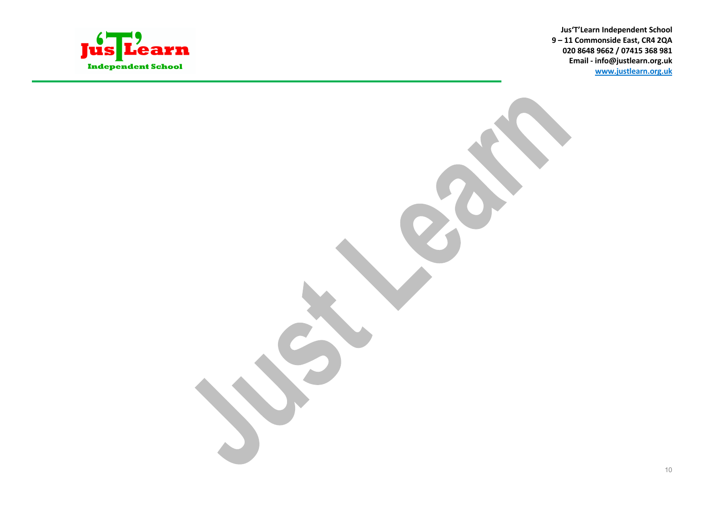